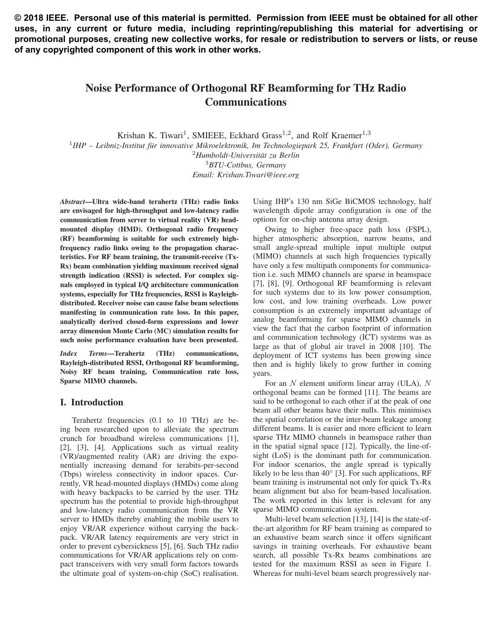**© 2018 IEEE. Personal use of this material is permitted. Permission from IEEE must be obtained for all other uses, in any current or future media, including reprinting/republishing this material for advertising or promotional purposes, creating new collective works, for resale or redistribution to servers or lists, or reuse of any copyrighted component of this work in other works.**

# Noise Performance of Orthogonal RF Beamforming for THz Radio Communications

Krishan K. Tiwari<sup>1</sup>, SMIEEE, Eckhard Grass<sup>1,2</sup>, and Rolf Kraemer<sup>1,3</sup>

<sup>1</sup>*IHP – Leibniz-Institut fur innovative Mikroelektronik, Im Technologiepark 25, Frankfurt (Oder), Germany ¨* <sup>2</sup>*Humboldt-Universitat zu Berlin ¨*

<sup>3</sup>*BTU-Cottbus, Germany*

*Email: Krishan.Tiwari@ieee.org*

*Abstract*—Ultra wide-band terahertz (THz) radio links are envisaged for high-throughput and low-latency radio communication from server to virtual reality (VR) headmounted display (HMD). Orthogonal radio frequency (RF) beamforming is suitable for such extremely highfrequency radio links owing to the propagation characteristics. For RF beam training, the transmit-receive (Tx-Rx) beam combination yielding maximum received signal strength indication (RSSI) is selected. For complex signals employed in typical I/Q architecture communication systems, especially for THz frequencies, RSSI is Rayleighdistributed. Receiver noise can cause false beam selections manifesting in communication rate loss. In this paper, analytically derived closed-form expressions and lower array dimension Monte Carlo (MC) simulation results for such noise performance evaluation have been presented.

*Index Terms*—Terahertz (THz) communications, Rayleigh-distributed RSSI, Orthogonal RF beamforming, Noisy RF beam training, Communication rate loss, Sparse MIMO channels.

# I. Introduction

Terahertz frequencies (0.1 to 10 THz) are being been researched upon to alleviate the spectrum crunch for broadband wireless communications [1], [2], [3], [4]. Applications such as virtual reality (VR)/augmented reality (AR) are driving the exponentially increasing demand for terabits-per-second (Tbps) wireless connectivity in indoor spaces. Currently, VR head-mounted displays (HMDs) come along with heavy backpacks to be carried by the user. THz spectrum has the potential to provide high-throughput and low-latency radio communication from the VR server to HMDs thereby enabling the mobile users to enjoy VR/AR experience without carrying the backpack. VR/AR latency requirements are very strict in order to prevent cybersickness [5], [6]. Such THz radio communications for VR/AR applications rely on compact transceivers with very small form factors towards the ultimate goal of system-on-chip (SoC) realisation.

Using IHP's 130 nm SiGe BiCMOS technology, half wavelength dipole array configuration is one of the options for on-chip antenna array design.

Owing to higher free-space path loss (FSPL), higher atmospheric absorption, narrow beams, and small angle-spread multiple input multiple output (MIMO) channels at such high frequencies typically have only a few multipath components for communication i.e. such MIMO channels are sparse in beamspace [7], [8], [9]. Orthogonal RF beamforming is relevant for such systems due to its low power consumption, low cost, and low training overheads. Low power consumption is an extremely important advantage of analog beamforming for sparse MIMO channels in view the fact that the carbon footprint of information and communication technology (ICT) systems was as large as that of global air travel in 2008 [10]. The deployment of ICT systems has been growing since then and is highly likely to grow further in coming years.

For an  $N$  element uniform linear array (ULA),  $N$ orthogonal beams can be formed [11]. The beams are said to be orthogonal to each other if at the peak of one beam all other beams have their nulls. This minimises the spatial correlation or the inter-beam leakage among different beams. It is easier and more efficient to learn sparse THz MIMO channels in beamspace rather than in the spatial signal space [12]. Typically, the line-ofsight (LoS) is the dominant path for communication. For indoor scenarios, the angle spread is typically likely to be less than 40◦ [3]. For such applications, RF beam training is instrumental not only for quick Tx-Rx beam alignment but also for beam-based localisation. The work reported in this letter is relevant for any sparse MIMO communication system.

Multi-level beam selection [13], [14] is the state-ofthe-art algorithm for RF beam training as compared to an exhaustive beam search since it offers significant savings in training overheads. For exhaustive beam search, all possible Tx-Rx beams combinations are tested for the maximum RSSI as seen in Figure 1. Whereas for multi-level beam search progressively nar-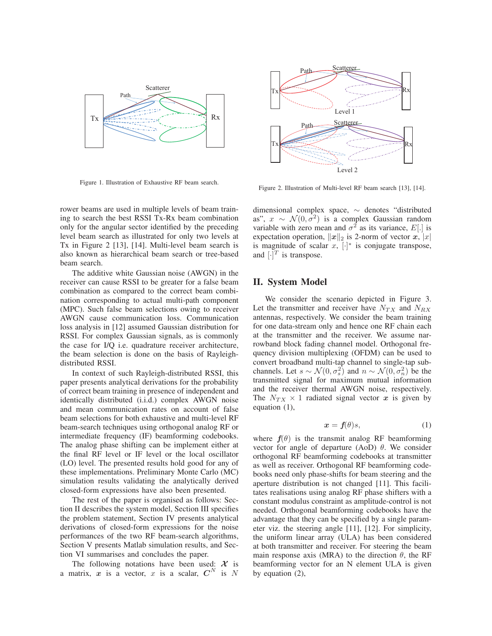

Figure 1. Illustration of Exhaustive RF beam search.

rower beams are used in multiple levels of beam training to search the best RSSI Tx-Rx beam combination only for the angular sector identified by the preceding level beam search as illustrated for only two levels at Tx in Figure 2 [13], [14]. Multi-level beam search is also known as hierarchical beam search or tree-based beam search.

The additive white Gaussian noise (AWGN) in the receiver can cause RSSI to be greater for a false beam combination as compared to the correct beam combination corresponding to actual multi-path component (MPC). Such false beam selections owing to receiver AWGN cause communication loss. Communication loss analysis in [12] assumed Gaussian distribution for RSSI. For complex Gaussian signals, as is commonly the case for I/Q i.e. quadrature receiver architecture, the beam selection is done on the basis of Rayleighdistributed RSSI.

In context of such Rayleigh-distributed RSSI, this paper presents analytical derivations for the probability of correct beam training in presence of independent and identically distributed (i.i.d.) complex AWGN noise and mean communication rates on account of false beam selections for both exhaustive and multi-level RF beam-search techniques using orthogonal analog RF or intermediate frequency (IF) beamforming codebooks. The analog phase shifting can be implement either at the final RF level or IF level or the local oscillator (LO) level. The presented results hold good for any of these implementations. Preliminary Monte Carlo (MC) simulation results validating the analytically derived closed-form expressions have also been presented.

The rest of the paper is organised as follows: Section II describes the system model, Section III specifies the problem statement, Section IV presents analytical derivations of closed-form expressions for the noise performances of the two RF beam-search algorithms, Section V presents Matlab simulation results, and Section VI summarises and concludes the paper.

The following notations have been used:  $X$  is a matrix, x is a vector, x is a scalar,  $C^N$  is N



Figure 2. Illustration of Multi-level RF beam search [13], [14].

dimensional complex space, ∼ denotes "distributed as",  $x \sim \mathcal{N}(0, \sigma^2)$  is a complex Gaussian random variable with zero mean and  $\sigma^2$  as its variance, E[.] is expectation operation,  $||x||_2$  is 2-norm of vector *x*, |x| is magnitude of scalar  $x$ ,  $[\cdot]^*$  is conjugate transpose, and  $[\cdot]^T$  is transpose.

# II. System Model

We consider the scenario depicted in Figure 3. Let the transmitter and receiver have  $N_{TX}$  and  $N_{RX}$ antennas, respectively. We consider the beam training for one data-stream only and hence one RF chain each at the transmitter and the receiver. We assume narrowband block fading channel model. Orthogonal frequency division multiplexing (OFDM) can be used to convert broadband multi-tap channel to single-tap subchannels. Let  $s \sim \mathcal{N}(0, \sigma_s^2)$  and  $n \sim \mathcal{N}(0, \sigma_n^2)$  be the transmitted signal for maximum mutual information transmitted signal for maximum mutual information and the receiver thermal AWGN noise, respectively. The  $N_{TX} \times 1$  radiated signal vector x is given by equation (1),

$$
\mathbf{x} = \mathbf{f}(\theta)s,\tag{1}
$$

where  $f(\theta)$  is the transmit analog RF beamforming vector for angle of departure (AoD)  $\theta$ . We consider orthogonal RF beamforming codebooks at transmitter as well as receiver. Orthogonal RF beamforming codebooks need only phase-shifts for beam steering and the aperture distribution is not changed [11]. This facilitates realisations using analog RF phase shifters with a constant modulus constraint as amplitude-control is not needed. Orthogonal beamforming codebooks have the advantage that they can be specified by a single parameter viz. the steering angle [11], [12]. For simplicity, the uniform linear array (ULA) has been considered at both transmitter and receiver. For steering the beam main response axis (MRA) to the direction  $\theta$ , the RF beamforming vector for an N element ULA is given by equation (2),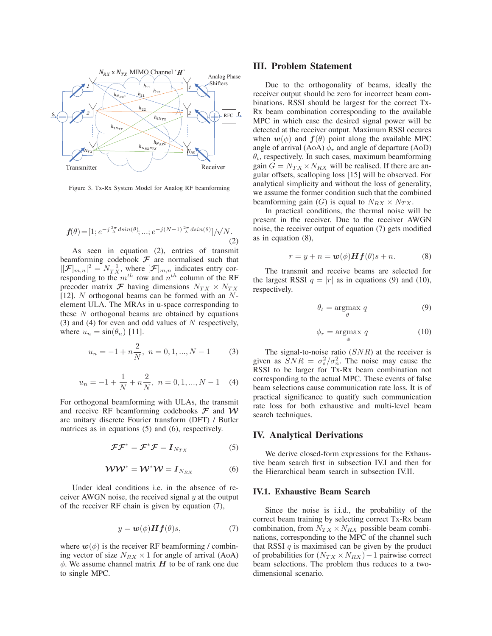

Figure 3. Tx-Rx System Model for Analog RF beamforming

$$
\mathbf{f}(\theta) = [1; e^{-j\frac{2\pi}{\lambda}d\sin(\theta)}, \dots; e^{-j(N-1)\frac{2\pi}{\lambda}d\sin(\theta)}]/\sqrt{N}.
$$
\n(2)

As seen in equation (2), entries of transmit beamforming codebook *F* are normalised such that  $|[\mathcal{F}]_{m,n}|^2 = N_{TX}^{-1}$ , where  $[\mathcal{F}]_{m,n}$  indicates entry corresponding to the  $m^{th}$  row and  $n^{th}$  column of the RF precoder matrix  $\mathcal{F}$  having dimensions  $N_{TX} \times N_{TX}$ [12]. N orthogonal beams can be formed with an  $N$ element ULA. The MRAs in u-space corresponding to these  $N$  orthogonal beams are obtained by equations (3) and (4) for even and odd values of  $N$  respectively, where  $u_n = \sin(\theta_n)$  [11].

$$
u_n = -1 + n\frac{2}{N}, \ n = 0, 1, ..., N - 1
$$
 (3)

$$
u_n = -1 + \frac{1}{N} + n\frac{2}{N}, \ n = 0, 1, ..., N - 1 \quad (4)
$$

For orthogonal beamforming with ULAs, the transmit and receive RF beamforming codebooks *F* and *W* are unitary discrete Fourier transform (DFT) / Butler matrices as in equations (5) and (6), respectively.

$$
\mathcal{F}\mathcal{F}^* = \mathcal{F}^*\mathcal{F} = I_{N_{TX}} \tag{5}
$$

$$
WW^* = W^*W = I_{N_{RX}} \tag{6}
$$

Under ideal conditions i.e. in the absence of receiver AWGN noise, the received signal  $y$  at the output of the receiver RF chain is given by equation (7),

$$
y = \boldsymbol{w}(\phi) \boldsymbol{H} \boldsymbol{f}(\theta) s,\tag{7}
$$

where  $w(\phi)$  is the receiver RF beamforming / combining vector of size  $N_{RX} \times 1$  for angle of arrival (AoA)  $\phi$ . We assume channel matrix  $H$  to be of rank one due to single MPC.

## III. Problem Statement

Due to the orthogonality of beams, ideally the receiver output should be zero for incorrect beam combinations. RSSI should be largest for the correct Tx-Rx beam combination corresponding to the available MPC in which case the desired signal power will be detected at the receiver output. Maximum RSSI occures when  $w(\phi)$  and  $f(\theta)$  point along the available MPC angle of arrival (AoA)  $\phi_r$  and angle of departure (AoD)  $\theta_t$ , respectively. In such cases, maximum beamforming gain  $G = N_{TX} \times N_{RX}$  will be realised. If there are angular offsets, scalloping loss [15] will be observed. For analytical simplicity and without the loss of generality, we assume the former condition such that the combined beamforming gain (G) is equal to  $N_{RX} \times N_{TX}$ .

In practical conditions, the thermal noise will be present in the receiver. Due to the receiver AWGN noise, the receiver output of equation (7) gets modified as in equation (8),

$$
r = y + n = \mathbf{w}(\phi) \mathbf{H} \mathbf{f}(\theta) s + n. \tag{8}
$$

The transmit and receive beams are selected for the largest RSSI  $q = |r|$  as in equations (9) and (10), respectively.

$$
\theta_t = \underset{\theta}{\text{argmax}} \ q \tag{9}
$$

$$
\phi_r = \underset{\phi}{\text{argmax}} \ q \tag{10}
$$

The signal-to-noise ratio  $(SNR)$  at the receiver is given as  $\overline{SNR} = \sigma_s^2/\sigma_n^2$ . The noise may cause the RSSI to be larger for Tx-Rx beam combination not RSSI to be larger for Tx-Rx beam combination not corresponding to the actual MPC. These events of false beam selections cause communication rate loss. It is of practical significance to quatify such communication rate loss for both exhaustive and multi-level beam search techniques.

## IV. Analytical Derivations

We derive closed-form expressions for the Exhaustive beam search first in subsection IV.I and then for the Hierarchical beam search in subsection IV.II.

#### IV.1. Exhaustive Beam Search

Since the noise is i.i.d., the probability of the correct beam training by selecting correct Tx-Rx beam combination, from  $N_{TX} \times N_{RX}$  possible beam combinations, corresponding to the MPC of the channel such that RSSI  $q$  is maximised can be given by the product of probabilities for  $(N_{TX} \times N_{RX}) - 1$  pairwise correct beam selections. The problem thus reduces to a twodimensional scenario.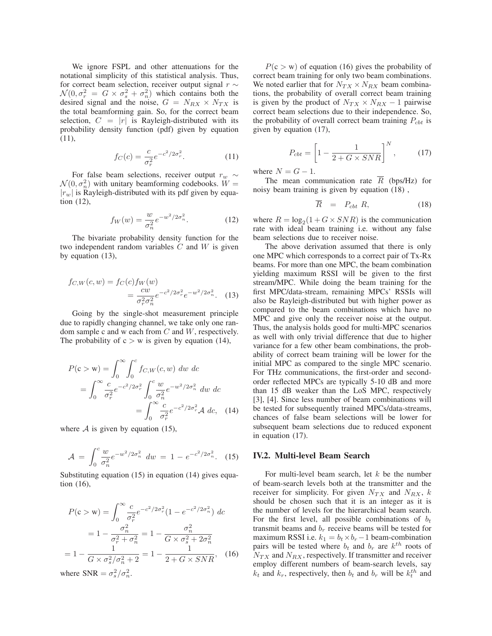We ignore FSPL and other attenuations for the notational simplicity of this statistical analysis. Thus, for correct beam selection, receiver output signal  $r \sim$  $\mathcal{N}(0, \sigma_r^2 = G \times \sigma_s^2 + \sigma_n^2)$  which contains both the desired signal and the noise  $G = N_{\text{RV}} \times N_{\text{RV}}$  is desired signal and the noise,  $G = N_{RX} \times N_{TX}$  is the total beamforming gain. So, for the correct beam selection,  $C = |r|$  is Rayleigh-distributed with its probability density function (pdf) given by equation (11),

$$
f_C(c) = \frac{c}{\sigma_r^2} e^{-c^2/2\sigma_r^2}.
$$
 (11)

For false beam selections, receiver output  $r_w \sim$  $\mathcal{N}(0, \sigma_n^2)$  with unitary beamforming codebooks.  $\tilde{W} =$ <br> $|x|$  is Rayleigh-distributed with its ndf given by equa- $|r_w|$  is Rayleigh-distributed with its pdf given by equation (12),

$$
f_W(w) = \frac{w}{\sigma_n^2} e^{-w^2/2\sigma_n^2}.
$$
 (12)

The bivariate probability density function for the two independent random variables  $C$  and  $W$  is given by equation (13),

$$
f_{C,W}(c,w) = f_C(c) f_W(w)
$$
  
= 
$$
\frac{cw}{\sigma_r^2 \sigma_n^2} e^{-c^2/2\sigma_r^2} e^{-w^2/2\sigma_n^2}.
$$
 (13)

Going by the single-shot measurement principle due to rapidly changing channel, we take only one random sample c and w each from  $C$  and  $W$ , respectively. The probability of  $c > w$  is given by equation (14),

$$
P(c > w) = \int_0^{\infty} \int_0^c f_{C,W}(c, w) \ dw \ dc
$$
  
= 
$$
\int_0^{\infty} \frac{c}{\sigma_r^2} e^{-c^2/2\sigma_r^2} \int_0^c \frac{w}{\sigma_n^2} e^{-w^2/2\sigma_n^2} \ dw \ dc
$$
  
= 
$$
\int_0^{\infty} \frac{c}{\sigma_r^2} e^{-c^2/2\sigma_r^2} \mathcal{A} \ dc, \quad (14)
$$

where  $A$  is given by equation (15),

$$
\mathcal{A} = \int_0^c \frac{w}{\sigma_n^2} e^{-w^2/2\sigma_n^2} dw = 1 - e^{-c^2/2\sigma_n^2}.
$$
 (15)

Substituting equation (15) in equation (14) gives equation (16),

$$
P(c > w) = \int_0^{\infty} \frac{c}{\sigma_r^2} e^{-c^2/2\sigma_r^2} (1 - e^{-c^2/2\sigma_n^2}) dc
$$
  
=  $1 - \frac{\sigma_n^2}{\sigma_r^2 + \sigma_n^2} = 1 - \frac{\sigma_n^2}{G \times \sigma_s^2 + 2\sigma_n^2}$   
=  $1 - \frac{1}{G \times \sigma_s^2/\sigma_n^2 + 2} = 1 - \frac{1}{2 + G \times SNR}$ , (16)

where  $SNR = \sigma_s^2 / \sigma_n^2$ .

 $P(c > w)$  of equation (16) gives the probability of correct beam training for only two beam combinations. We noted earlier that for  $N_{TX} \times N_{RX}$  beam combinations, the probability of overall correct beam training is given by the product of  $N_{TX} \times N_{RX} - 1$  pairwise correct beam selections due to their independence. So, the probability of overall correct beam training  $P_{\text{cbt}}$  is given by equation (17),

$$
P_{cbt} = \left[1 - \frac{1}{2 + G \times SNR}\right]^N, \qquad (17)
$$

where  $N = G - 1$ .

The mean communication rate  $\overline{R}$  (bps/Hz) for noisy beam training is given by equation (18) ,

$$
\overline{R} = P_{cbt} R, \qquad (18)
$$

where  $R = \log_2(1 + G \times SNR)$  is the communication rate with ideal beam training i.e. without any false beam selections due to receiver noise.

The above derivation assumed that there is only one MPC which corresponds to a correct pair of Tx-Rx beams. For more than one MPC, the beam combination yielding maximum RSSI will be given to the first stream/MPC. While doing the beam training for the first MPC/data-stream, remaining MPCs' RSSIs will also be Rayleigh-distributed but with higher power as compared to the beam combinations which have no MPC and give only the receiver noise at the output. Thus, the analysis holds good for multi-MPC scenarios as well with only trivial difference that due to higher variance for a few other beam combinations, the probability of correct beam training will be lower for the initial MPC as compared to the single MPC scenario. For THz communications, the first-order and secondorder reflected MPCs are typically 5-10 dB and more than 15 dB weaker than the LoS MPC, respectively [3], [4]. Since less number of beam combinations will be tested for subsequently trained MPCs/data-streams, chances of false beam selections will be lower for subsequent beam selections due to reduced exponent in equation (17).

#### IV.2. Multi-level Beam Search

For multi-level beam search, let  $k$  be the number of beam-search levels both at the transmitter and the receiver for simplicity. For given  $N_{TX}$  and  $N_{RX}$ , k should be chosen such that it is an integer as it is the number of levels for the hierarchical beam search. For the first level, all possible combinations of  $b_t$ transmit beams and  $b_r$  receive beams will be tested for maximum RSSI i.e.  $k_1 = b_t \times b_r - 1$  beam-combination pairs will be tested where  $b_t$  and  $b_r$  are  $k^{th}$  roots of  $N_{TX}$  and  $N_{RX}$ , respectively. If transmitter and receiver employ different numbers of beam-search levels, say  $k_t$  and  $k_r$ , respectively, then  $b_t$  and  $b_r$  will be  $k_t^{th}$  and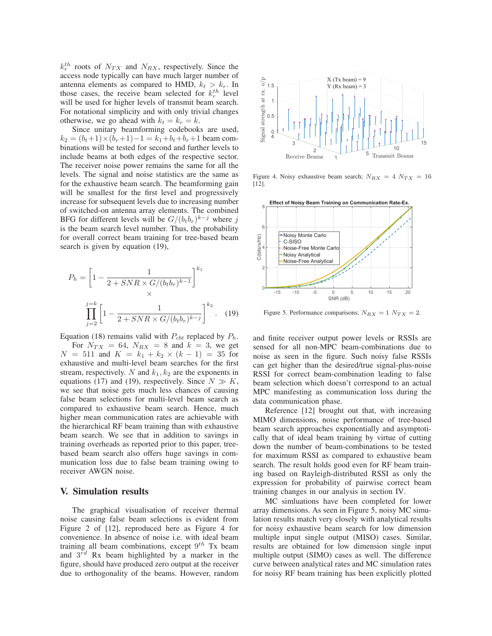$k_T^{th}$  roots of  $N_{TX}$  and  $N_{RX}$ , respectively. Since the access node typically can have much larger number of antenna elements as compared to HMD,  $k_t > k_r$ . In those cases, the receive beam selected for  $k_r^{th}$  level will be used for higher levels of transmit beam search. For notational simplicity and with only trivial changes otherwise, we go ahead with  $k_t = k_r = k$ .

Since unitary beamforming codebooks are used,  $k_2 = (b_t+1) \times (b_r+1) - 1 = k_1+b_t+b_r+1$  beam combinations will be tested for second and further levels to include beams at both edges of the respective sector. The receiver noise power remains the same for all the levels. The signal and noise statistics are the same as for the exhaustive beam search. The beamforming gain will be smallest for the first level and progressively increase for subsequent levels due to increasing number of switched-on antenna array elements. The combined BFG for different levels will be  $G/(b_t b_r)^{k-j}$  where j is the beam search level number. Thus, the probability for overall correct beam training for tree-based beam search is given by equation (19),

$$
P_h = \left[1 - \frac{1}{2 + SNR \times G/(b_t b_r)^{k-1}}\right]^{k_1}
$$
  

$$
\prod_{j=2}^{j=k} \left[1 - \frac{1}{2 + SNR \times G/(b_t b_r)^{k-j}}\right]^{k_2}.
$$
 (19)

Equation (18) remains valid with  $P_{cbt}$  replaced by  $P_h$ . For  $N_{TX} = 64$ ,  $N_{RX} = 8$  and  $k = 3$ , we get  $N = 511$  and  $K = k_1 + k_2 \times (k-1) = 35$  for exhaustive and multi-level beam searches for the first stream, respectively. N and  $k_1, k_2$  are the exponents in equations (17) and (19), respectively. Since  $N \gg K$ , we see that noise gets much less chances of causing false beam selections for multi-level beam search as compared to exhaustive beam search. Hence, much higher mean communication rates are achievable with the hierarchical RF beam training than with exhaustive beam search. We see that in addition to savings in training overheads as reported prior to this paper, treebased beam search also offers huge savings in communication loss due to false beam training owing to receiver AWGN noise.

#### V. Simulation results

The graphical visualisation of receiver thermal noise causing false beam selections is evident from Figure 2 of [12], reproduced here as Figure 4 for convenience. In absence of noise i.e. with ideal beam training all beam combinations, except  $9^{th}$  Tx beam and  $3^{\bar{r}d}$  Rx beam highlighted by a marker in the figure, should have produced zero output at the receiver due to orthogonality of the beams. However, random



Figure 4. Noisy exhaustive beam search;  $N_{RX} = 4 N_{TX} = 16$ [12].



Figure 5. Performance comparisons;  $N_{RX} = 1$   $N_{TX} = 2$ .

and finite receiver output power levels or RSSIs are sensed for all non-MPC beam-combinations due to noise as seen in the figure. Such noisy false RSSIs can get higher than the desired/true signal-plus-noise RSSI for correct beam-combination leading to false beam selection which doesn't correspond to an actual MPC manifesting as communication loss during the data communication phase.

Reference [12] brought out that, with increasing MIMO dimensions, noise performance of tree-based beam search approaches exponentially and asymptotically that of ideal beam training by virtue of cutting down the number of beam-combinations to be tested for maximum RSSI as compared to exhaustive beam search. The result holds good even for RF beam training based on Rayleigh-distributed RSSI as only the expression for probability of pairwise correct beam training changes in our analysis in section IV.

MC simluations have been completed for lower array dimensions. As seen in Figure 5, noisy MC simulation results match very closely with analytical results for noisy exhaustive beam search for low dimension multiple input single output (MISO) cases. Similar, results are obtained for low dimension single input multiple output (SIMO) cases as well. The difference curve between analytical rates and MC simulation rates for noisy RF beam training has been explicitly plotted